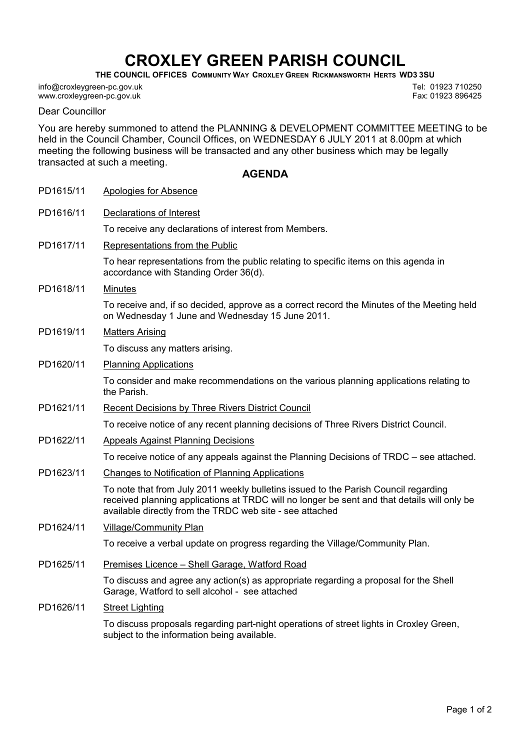## CROXLEY GREEN PARISH COUNCIL

THE COUNCIL OFFICES COMMUNITY WAY CROXLEY GREEN RICKMANSWORTH HERTS WD3 3SU

info@croxleygreen-pc.gov.uk www.croxleygreen-pc.gov.uk

Tel: 01923 710250 Fax: 01923 896425

Dear Councillor

You are hereby summoned to attend the PLANNING & DEVELOPMENT COMMITTEE MEETING to be held in the Council Chamber, Council Offices, on WEDNESDAY 6 JULY 2011 at 8.00pm at which meeting the following business will be transacted and any other business which may be legally transacted at such a meeting.

## AGENDA

| PD1615/11 | Apologies for Absence                                                                                                                                                                                                                          |
|-----------|------------------------------------------------------------------------------------------------------------------------------------------------------------------------------------------------------------------------------------------------|
| PD1616/11 | <b>Declarations of Interest</b>                                                                                                                                                                                                                |
|           | To receive any declarations of interest from Members.                                                                                                                                                                                          |
| PD1617/11 | Representations from the Public                                                                                                                                                                                                                |
|           | To hear representations from the public relating to specific items on this agenda in<br>accordance with Standing Order 36(d).                                                                                                                  |
| PD1618/11 | <b>Minutes</b>                                                                                                                                                                                                                                 |
|           | To receive and, if so decided, approve as a correct record the Minutes of the Meeting held<br>on Wednesday 1 June and Wednesday 15 June 2011.                                                                                                  |
| PD1619/11 | <b>Matters Arising</b>                                                                                                                                                                                                                         |
|           | To discuss any matters arising.                                                                                                                                                                                                                |
| PD1620/11 | <b>Planning Applications</b>                                                                                                                                                                                                                   |
|           | To consider and make recommendations on the various planning applications relating to<br>the Parish.                                                                                                                                           |
| PD1621/11 | <b>Recent Decisions by Three Rivers District Council</b>                                                                                                                                                                                       |
|           | To receive notice of any recent planning decisions of Three Rivers District Council.                                                                                                                                                           |
| PD1622/11 | <b>Appeals Against Planning Decisions</b>                                                                                                                                                                                                      |
|           | To receive notice of any appeals against the Planning Decisions of TRDC – see attached.                                                                                                                                                        |
| PD1623/11 | Changes to Notification of Planning Applications                                                                                                                                                                                               |
|           | To note that from July 2011 weekly bulletins issued to the Parish Council regarding<br>received planning applications at TRDC will no longer be sent and that details will only be<br>available directly from the TRDC web site - see attached |
| PD1624/11 | <b>Village/Community Plan</b>                                                                                                                                                                                                                  |
|           | To receive a verbal update on progress regarding the Village/Community Plan.                                                                                                                                                                   |
| PD1625/11 | Premises Licence - Shell Garage, Watford Road                                                                                                                                                                                                  |
|           | To discuss and agree any action(s) as appropriate regarding a proposal for the Shell<br>Garage, Watford to sell alcohol - see attached                                                                                                         |
| PD1626/11 | <b>Street Lighting</b>                                                                                                                                                                                                                         |
|           | To discuss proposals regarding part-night operations of street lights in Croxley Green,<br>subject to the information being available.                                                                                                         |